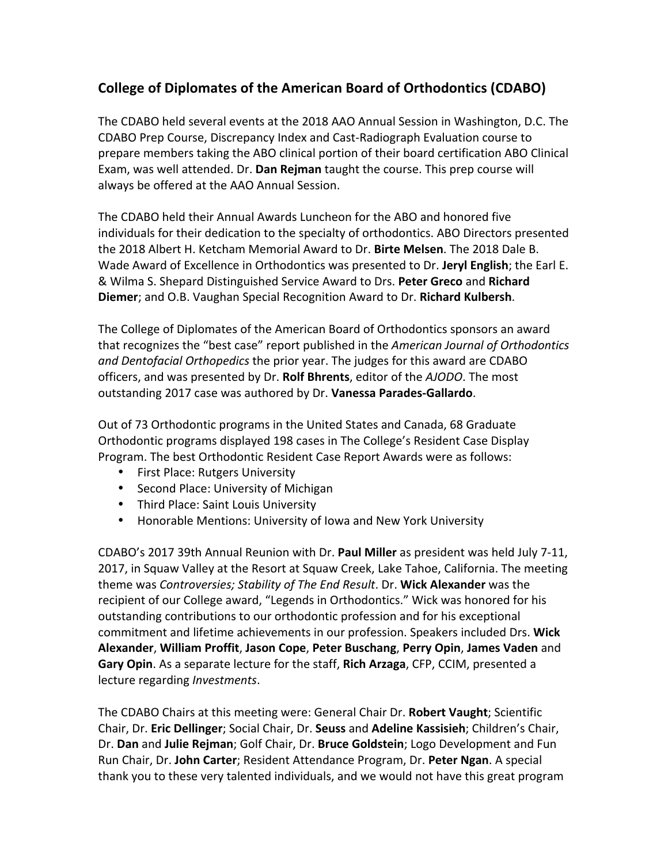## **College of Diplomates of the American Board of Orthodontics (CDABO)**

The CDABO held several events at the 2018 AAO Annual Session in Washington, D.C. The CDABO Prep Course, Discrepancy Index and Cast-Radiograph Evaluation course to prepare members taking the ABO clinical portion of their board certification ABO Clinical Exam, was well attended. Dr. Dan Rejman taught the course. This prep course will always be offered at the AAO Annual Session.

The CDABO held their Annual Awards Luncheon for the ABO and honored five individuals for their dedication to the specialty of orthodontics. ABO Directors presented the 2018 Albert H. Ketcham Memorial Award to Dr. Birte Melsen. The 2018 Dale B. Wade Award of Excellence in Orthodontics was presented to Dr. Jervl English; the Earl E. & Wilma S. Shepard Distinguished Service Award to Drs. Peter Greco and Richard **Diemer**; and O.B. Vaughan Special Recognition Award to Dr. **Richard Kulbersh**.

The College of Diplomates of the American Board of Orthodontics sponsors an award that recognizes the "best case" report published in the *American Journal of Orthodontics* and Dentofacial Orthopedics the prior year. The judges for this award are CDABO officers, and was presented by Dr. Rolf Bhrents, editor of the AJODO. The most outstanding 2017 case was authored by Dr. **Vanessa Parades-Gallardo**.

Out of 73 Orthodontic programs in the United States and Canada, 68 Graduate Orthodontic programs displayed 198 cases in The College's Resident Case Display Program. The best Orthodontic Resident Case Report Awards were as follows:

- First Place: Rutgers University
- Second Place: University of Michigan
- Third Place: Saint Louis University
- Honorable Mentions: University of Iowa and New York University

CDABO's 2017 39th Annual Reunion with Dr. **Paul Miller** as president was held July 7-11, 2017, in Squaw Valley at the Resort at Squaw Creek, Lake Tahoe, California. The meeting theme was *Controversies; Stability of The End Result*. Dr. Wick Alexander was the recipient of our College award, "Legends in Orthodontics." Wick was honored for his outstanding contributions to our orthodontic profession and for his exceptional commitment and lifetime achievements in our profession. Speakers included Drs. Wick **Alexander**, **William Proffit**, **Jason Cope**, **Peter Buschang**, **Perry Opin**, **James Vaden** and Gary Opin. As a separate lecture for the staff, Rich Arzaga, CFP, CCIM, presented a lecture regarding *Investments*.

The CDABO Chairs at this meeting were: General Chair Dr. Robert Vaught; Scientific Chair, Dr. Eric Dellinger; Social Chair, Dr. Seuss and Adeline Kassisieh; Children's Chair, Dr. **Dan** and **Julie Rejman**; Golf Chair, Dr. **Bruce Goldstein**; Logo Development and Fun Run Chair, Dr. John Carter; Resident Attendance Program, Dr. Peter Ngan. A special thank you to these very talented individuals, and we would not have this great program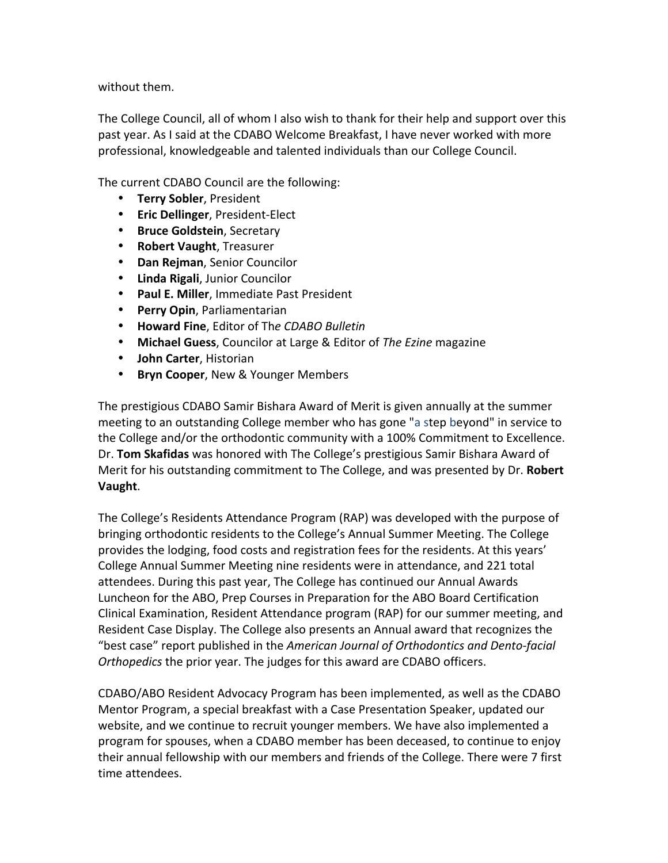without them.

The College Council, all of whom I also wish to thank for their help and support over this past year. As I said at the CDABO Welcome Breakfast, I have never worked with more professional, knowledgeable and talented individuals than our College Council.

The current CDABO Council are the following:

- **Terry Sobler, President**
- **Eric Dellinger**, President-Elect
- **Bruce Goldstein**, Secretary
- **Robert Vaught**, Treasurer
- **Dan Rejman**, Senior Councilor
- **Linda Rigali, Junior Councilor**
- **Paul E. Miller**, Immediate Past President
- **Perry Opin, Parliamentarian**
- **Howard Fine**, Editor of Th*e CDABO Bulletin*
- Michael Guess, Councilor at Large & Editor of *The Ezine* magazine
- **John Carter, Historian**
- **Bryn Cooper**, New & Younger Members

The prestigious CDABO Samir Bishara Award of Merit is given annually at the summer meeting to an outstanding College member who has gone "a step beyond" in service to the College and/or the orthodontic community with a 100% Commitment to Excellence. Dr. **Tom Skafidas** was honored with The College's prestigious Samir Bishara Award of Merit for his outstanding commitment to The College, and was presented by Dr. **Robert Vaught**.

The College's Residents Attendance Program (RAP) was developed with the purpose of bringing orthodontic residents to the College's Annual Summer Meeting. The College provides the lodging, food costs and registration fees for the residents. At this years' College Annual Summer Meeting nine residents were in attendance, and 221 total attendees. During this past year, The College has continued our Annual Awards Luncheon for the ABO, Prep Courses in Preparation for the ABO Board Certification Clinical Examination, Resident Attendance program (RAP) for our summer meeting, and Resident Case Display. The College also presents an Annual award that recognizes the "best case" report published in the *American Journal of Orthodontics and Dento-facial Orthopedics the prior year. The judges for this award are CDABO officers.* 

CDABO/ABO Resident Advocacy Program has been implemented, as well as the CDABO Mentor Program, a special breakfast with a Case Presentation Speaker, updated our website, and we continue to recruit younger members. We have also implemented a program for spouses, when a CDABO member has been deceased, to continue to enjoy their annual fellowship with our members and friends of the College. There were 7 first time attendees.